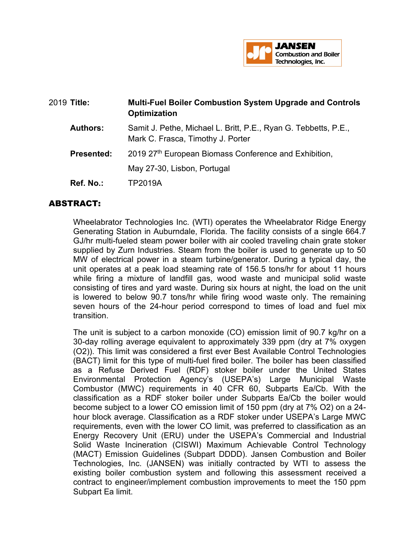

| 2019 Title:       | <b>Multi-Fuel Boiler Combustion System Upgrade and Controls</b><br>Optimization                      |
|-------------------|------------------------------------------------------------------------------------------------------|
| <b>Authors:</b>   | Samit J. Pethe, Michael L. Britt, P.E., Ryan G. Tebbetts, P.E.,<br>Mark C. Frasca, Timothy J. Porter |
| <b>Presented:</b> | 2019 27th European Biomass Conference and Exhibition,                                                |
|                   | May 27-30, Lisbon, Portugal                                                                          |
| Ref. No.:         | TP2019A                                                                                              |

## ABSTRACT:

Wheelabrator Technologies Inc. (WTI) operates the Wheelabrator Ridge Energy Generating Station in Auburndale, Florida. The facility consists of a single 664.7 GJ/hr multi-fueled steam power boiler with air cooled traveling chain grate stoker supplied by Zurn Industries. Steam from the boiler is used to generate up to 50 MW of electrical power in a steam turbine/generator. During a typical day, the unit operates at a peak load steaming rate of 156.5 tons/hr for about 11 hours while firing a mixture of landfill gas, wood waste and municipal solid waste consisting of tires and yard waste. During six hours at night, the load on the unit is lowered to below 90.7 tons/hr while firing wood waste only. The remaining seven hours of the 24-hour period correspond to times of load and fuel mix transition.

The unit is subject to a carbon monoxide (CO) emission limit of 90.7 kg/hr on a 30-day rolling average equivalent to approximately 339 ppm (dry at 7% oxygen (O2)). This limit was considered a first ever Best Available Control Technologies (BACT) limit for this type of multi-fuel fired boiler. The boiler has been classified as a Refuse Derived Fuel (RDF) stoker boiler under the United States Environmental Protection Agency's (USEPA's) Large Municipal Waste Combustor (MWC) requirements in 40 CFR 60, Subparts Ea/Cb. With the classification as a RDF stoker boiler under Subparts Ea/Cb the boiler would become subject to a lower CO emission limit of 150 ppm (dry at 7% O2) on a 24 hour block average. Classification as a RDF stoker under USEPA's Large MWC requirements, even with the lower CO limit, was preferred to classification as an Energy Recovery Unit (ERU) under the USEPA's Commercial and Industrial Solid Waste Incineration (CISWI) Maximum Achievable Control Technology (MACT) Emission Guidelines (Subpart DDDD). Jansen Combustion and Boiler Technologies, Inc. (JANSEN) was initially contracted by WTI to assess the existing boiler combustion system and following this assessment received a contract to engineer/implement combustion improvements to meet the 150 ppm Subpart Ea limit.